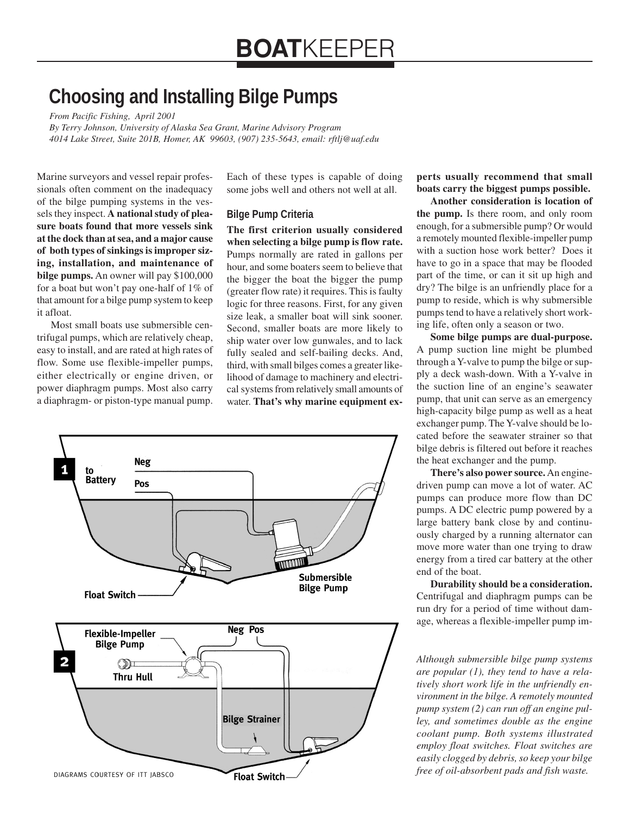# **Choosing and Installing Bilge Pumps**

*From Pacific Fishing, April 2001*

*By Terry Johnson, University of Alaska Sea Grant, Marine Advisory Program 4014 Lake Street, Suite 201B, Homer, AK 99603, (907) 235-5643, email: rftlj@uaf.edu*

Marine surveyors and vessel repair professionals often comment on the inadequacy of the bilge pumping systems in the vessels they inspect. **A national study of pleasure boats found that more vessels sink at the dock than at sea, and a major cause of both types of sinkings is improper sizing, installation, and maintenance of bilge pumps.** An owner will pay \$100,000 for a boat but won't pay one-half of 1% of that amount for a bilge pump system to keep it afloat.

Most small boats use submersible centrifugal pumps, which are relatively cheap, easy to install, and are rated at high rates of flow. Some use flexible-impeller pumps, either electrically or engine driven, or power diaphragm pumps. Most also carry a diaphragm- or piston-type manual pump.

Each of these types is capable of doing some jobs well and others not well at all.

# **Bilge Pump Criteria**

**The first criterion usually considered when selecting a bilge pump is flow rate.** Pumps normally are rated in gallons per hour, and some boaters seem to believe that the bigger the boat the bigger the pump (greater flow rate) it requires. This is faulty logic for three reasons. First, for any given size leak, a smaller boat will sink sooner. Second, smaller boats are more likely to ship water over low gunwales, and to lack fully sealed and self-bailing decks. And, third, with small bilges comes a greater likelihood of damage to machinery and electrical systems from relatively small amounts of water. **That's why marine equipment ex-**



**perts usually recommend that small boats carry the biggest pumps possible.**

**Another consideration is location of the pump.** Is there room, and only room enough, for a submersible pump? Or would a remotely mounted flexible-impeller pump with a suction hose work better? Does it have to go in a space that may be flooded part of the time, or can it sit up high and dry? The bilge is an unfriendly place for a pump to reside, which is why submersible pumps tend to have a relatively short working life, often only a season or two.

**Some bilge pumps are dual-purpose.** A pump suction line might be plumbed through a Y-valve to pump the bilge or supply a deck wash-down. With a Y-valve in the suction line of an engine's seawater pump, that unit can serve as an emergency high-capacity bilge pump as well as a heat exchanger pump. The Y-valve should be located before the seawater strainer so that bilge debris is filtered out before it reaches the heat exchanger and the pump.

**There's also power source.** An enginedriven pump can move a lot of water. AC pumps can produce more flow than DC pumps. A DC electric pump powered by a large battery bank close by and continuously charged by a running alternator can move more water than one trying to draw energy from a tired car battery at the other end of the boat.

**Durability should be a consideration.** Centrifugal and diaphragm pumps can be run dry for a period of time without damage, whereas a flexible-impeller pump im-

*Although submersible bilge pump systems are popular (1), they tend to have a relatively short work life in the unfriendly environment in the bilge. A remotely mounted pump system (2) can run off an engine pulley, and sometimes double as the engine coolant pump. Both systems illustrated employ float switches. Float switches are easily clogged by debris, so keep your bilge free of oil-absorbent pads and fish waste.*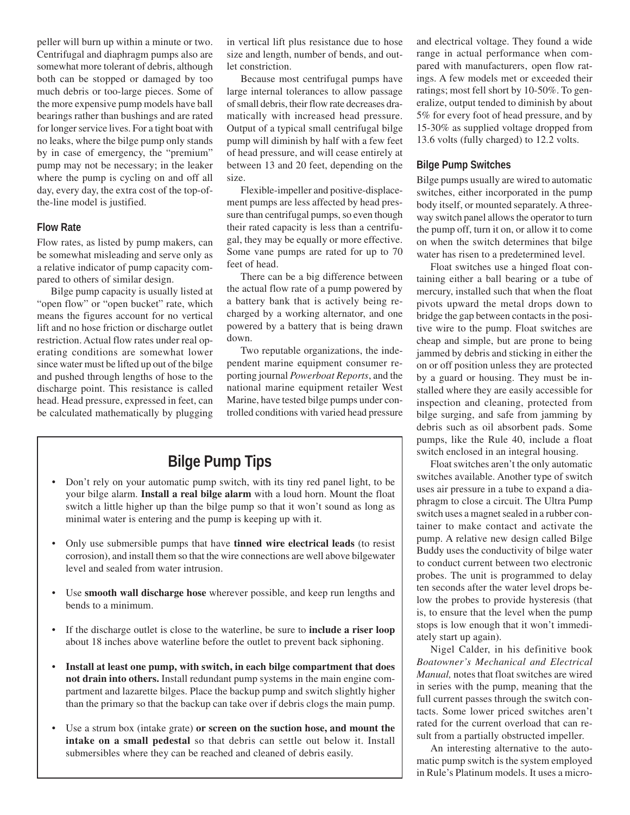peller will burn up within a minute or two. Centrifugal and diaphragm pumps also are somewhat more tolerant of debris, although both can be stopped or damaged by too much debris or too-large pieces. Some of the more expensive pump models have ball bearings rather than bushings and are rated for longer service lives. For a tight boat with no leaks, where the bilge pump only stands by in case of emergency, the "premium" pump may not be necessary; in the leaker where the pump is cycling on and off all day, every day, the extra cost of the top-ofthe-line model is justified.

## **Flow Rate**

Flow rates, as listed by pump makers, can be somewhat misleading and serve only as a relative indicator of pump capacity compared to others of similar design.

Bilge pump capacity is usually listed at "open flow" or "open bucket" rate, which means the figures account for no vertical lift and no hose friction or discharge outlet restriction. Actual flow rates under real operating conditions are somewhat lower since water must be lifted up out of the bilge and pushed through lengths of hose to the discharge point. This resistance is called head. Head pressure, expressed in feet, can be calculated mathematically by plugging in vertical lift plus resistance due to hose size and length, number of bends, and outlet constriction.

Because most centrifugal pumps have large internal tolerances to allow passage of small debris, their flow rate decreases dramatically with increased head pressure. Output of a typical small centrifugal bilge pump will diminish by half with a few feet of head pressure, and will cease entirely at between 13 and 20 feet, depending on the size.

Flexible-impeller and positive-displacement pumps are less affected by head pressure than centrifugal pumps, so even though their rated capacity is less than a centrifugal, they may be equally or more effective. Some vane pumps are rated for up to 70 feet of head.

There can be a big difference between the actual flow rate of a pump powered by a battery bank that is actively being recharged by a working alternator, and one powered by a battery that is being drawn down.

Two reputable organizations, the independent marine equipment consumer reporting journal *Powerboat Reports*, and the national marine equipment retailer West Marine, have tested bilge pumps under controlled conditions with varied head pressure

# **Bilge Pump Tips**

- Don't rely on your automatic pump switch, with its tiny red panel light, to be your bilge alarm. **Install a real bilge alarm** with a loud horn. Mount the float switch a little higher up than the bilge pump so that it won't sound as long as minimal water is entering and the pump is keeping up with it.
- Only use submersible pumps that have **tinned wire electrical leads** (to resist corrosion), and install them so that the wire connections are well above bilgewater level and sealed from water intrusion.
- Use **smooth wall discharge hose** wherever possible, and keep run lengths and bends to a minimum.
- If the discharge outlet is close to the waterline, be sure to **include a riser loop** about 18 inches above waterline before the outlet to prevent back siphoning.
- **Install at least one pump, with switch, in each bilge compartment that does not drain into others.** Install redundant pump systems in the main engine compartment and lazarette bilges. Place the backup pump and switch slightly higher than the primary so that the backup can take over if debris clogs the main pump.
- Use a strum box (intake grate) **or screen on the suction hose, and mount the intake on a small pedestal** so that debris can settle out below it. Install submersibles where they can be reached and cleaned of debris easily.

and electrical voltage. They found a wide range in actual performance when compared with manufacturers, open flow ratings. A few models met or exceeded their ratings; most fell short by 10-50%. To generalize, output tended to diminish by about 5% for every foot of head pressure, and by 15-30% as supplied voltage dropped from 13.6 volts (fully charged) to 12.2 volts.

#### **Bilge Pump Switches**

Bilge pumps usually are wired to automatic switches, either incorporated in the pump body itself, or mounted separately. A threeway switch panel allows the operator to turn the pump off, turn it on, or allow it to come on when the switch determines that bilge water has risen to a predetermined level.

Float switches use a hinged float containing either a ball bearing or a tube of mercury, installed such that when the float pivots upward the metal drops down to bridge the gap between contacts in the positive wire to the pump. Float switches are cheap and simple, but are prone to being jammed by debris and sticking in either the on or off position unless they are protected by a guard or housing. They must be installed where they are easily accessible for inspection and cleaning, protected from bilge surging, and safe from jamming by debris such as oil absorbent pads. Some pumps, like the Rule 40, include a float switch enclosed in an integral housing.

Float switches aren't the only automatic switches available. Another type of switch uses air pressure in a tube to expand a diaphragm to close a circuit. The Ultra Pump switch uses a magnet sealed in a rubber container to make contact and activate the pump. A relative new design called Bilge Buddy uses the conductivity of bilge water to conduct current between two electronic probes. The unit is programmed to delay ten seconds after the water level drops below the probes to provide hysteresis (that is, to ensure that the level when the pump stops is low enough that it won't immediately start up again).

Nigel Calder, in his definitive book *Boatowner's Mechanical and Electrical Manual,* notes that float switches are wired in series with the pump, meaning that the full current passes through the switch contacts. Some lower priced switches aren't rated for the current overload that can result from a partially obstructed impeller.

An interesting alternative to the automatic pump switch is the system employed in Rule's Platinum models. It uses a micro